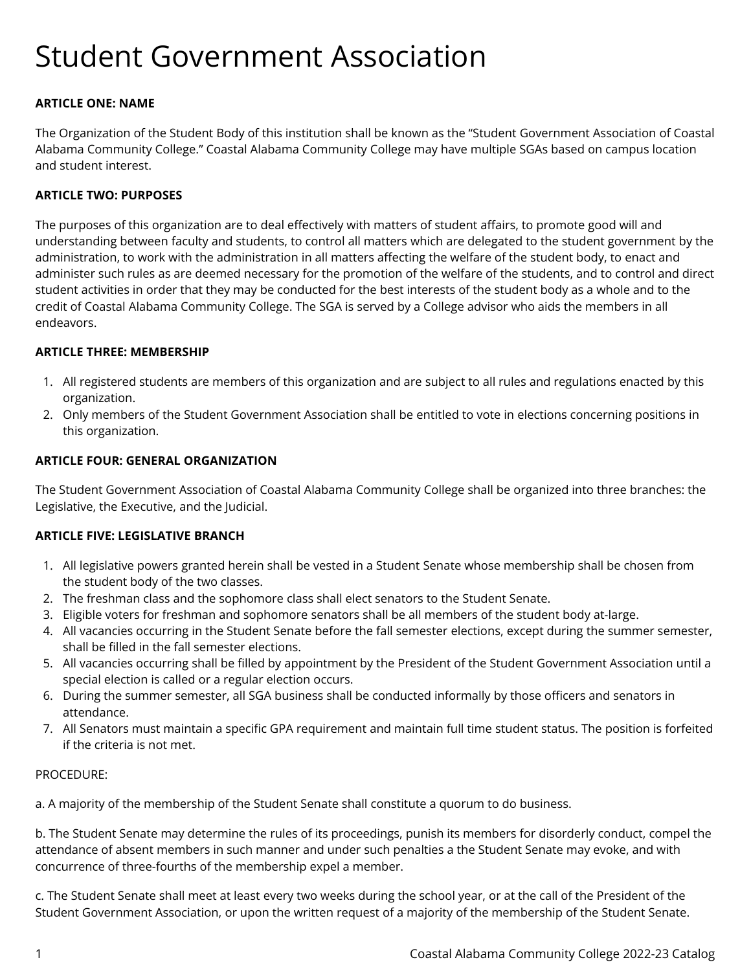# Student Government Association

## **ARTICLE ONE: NAME**

The Organization of the Student Body of this institution shall be known as the "Student Government Association of Coastal Alabama Community College." Coastal Alabama Community College may have multiple SGAs based on campus location and student interest.

## **ARTICLE TWO: PURPOSES**

The purposes of this organization are to deal effectively with matters of student affairs, to promote good will and understanding between faculty and students, to control all matters which are delegated to the student government by the administration, to work with the administration in all matters affecting the welfare of the student body, to enact and administer such rules as are deemed necessary for the promotion of the welfare of the students, and to control and direct student activities in order that they may be conducted for the best interests of the student body as a whole and to the credit of Coastal Alabama Community College. The SGA is served by a College advisor who aids the members in all endeavors.

#### **ARTICLE THREE: MEMBERSHIP**

- 1. All registered students are members of this organization and are subject to all rules and regulations enacted by this organization.
- 2. Only members of the Student Government Association shall be entitled to vote in elections concerning positions in this organization.

#### **ARTICLE FOUR: GENERAL ORGANIZATION**

The Student Government Association of Coastal Alabama Community College shall be organized into three branches: the Legislative, the Executive, and the Judicial.

## **ARTICLE FIVE: LEGISLATIVE BRANCH**

- 1. All legislative powers granted herein shall be vested in a Student Senate whose membership shall be chosen from the student body of the two classes.
- 2. The freshman class and the sophomore class shall elect senators to the Student Senate.
- 3. Eligible voters for freshman and sophomore senators shall be all members of the student body at-large.
- 4. All vacancies occurring in the Student Senate before the fall semester elections, except during the summer semester, shall be filled in the fall semester elections.
- 5. All vacancies occurring shall be filled by appointment by the President of the Student Government Association until a special election is called or a regular election occurs.
- 6. During the summer semester, all SGA business shall be conducted informally by those officers and senators in attendance.
- 7. All Senators must maintain a specific GPA requirement and maintain full time student status. The position is forfeited if the criteria is not met.

#### PROCEDURE:

a. A majority of the membership of the Student Senate shall constitute a quorum to do business.

b. The Student Senate may determine the rules of its proceedings, punish its members for disorderly conduct, compel the attendance of absent members in such manner and under such penalties a the Student Senate may evoke, and with concurrence of three-fourths of the membership expel a member.

c. The Student Senate shall meet at least every two weeks during the school year, or at the call of the President of the Student Government Association, or upon the written request of a majority of the membership of the Student Senate.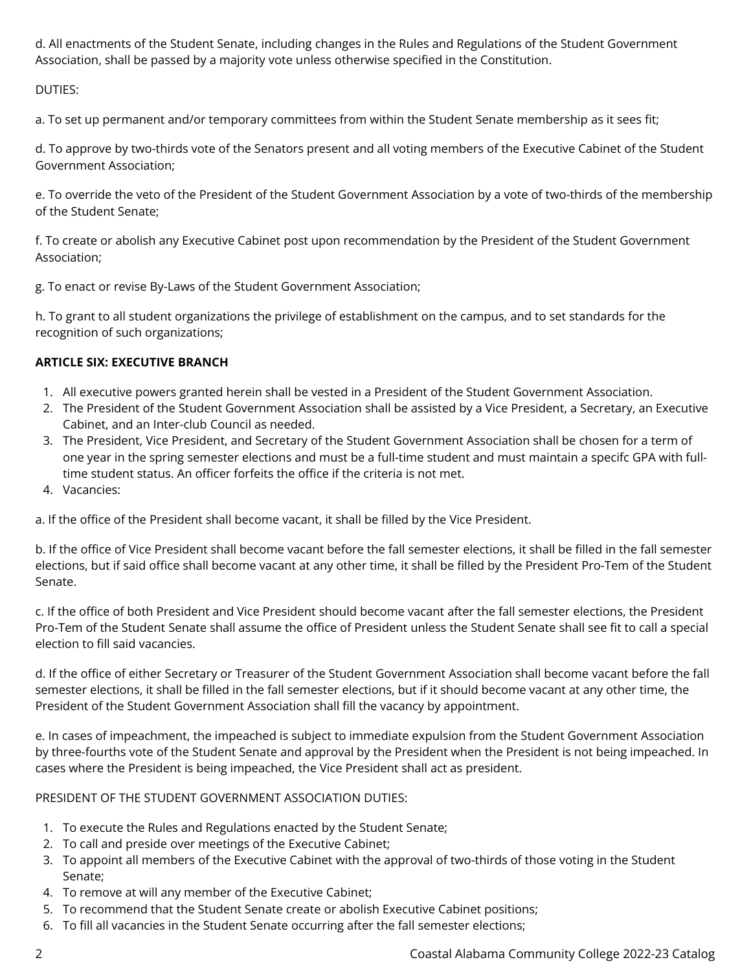d. All enactments of the Student Senate, including changes in the Rules and Regulations of the Student Government Association, shall be passed by a majority vote unless otherwise specified in the Constitution.

DUTIES:

a. To set up permanent and/or temporary committees from within the Student Senate membership as it sees fit;

d. To approve by two-thirds vote of the Senators present and all voting members of the Executive Cabinet of the Student Government Association;

e. To override the veto of the President of the Student Government Association by a vote of two-thirds of the membership of the Student Senate;

f. To create or abolish any Executive Cabinet post upon recommendation by the President of the Student Government Association;

g. To enact or revise By-Laws of the Student Government Association;

h. To grant to all student organizations the privilege of establishment on the campus, and to set standards for the recognition of such organizations;

# **ARTICLE SIX: EXECUTIVE BRANCH**

- 1. All executive powers granted herein shall be vested in a President of the Student Government Association.
- 2. The President of the Student Government Association shall be assisted by a Vice President, a Secretary, an Executive Cabinet, and an Inter-club Council as needed.
- 3. The President, Vice President, and Secretary of the Student Government Association shall be chosen for a term of one year in the spring semester elections and must be a full-time student and must maintain a specifc GPA with fulltime student status. An officer forfeits the office if the criteria is not met.
- 4. Vacancies:

a. If the office of the President shall become vacant, it shall be filled by the Vice President.

b. If the office of Vice President shall become vacant before the fall semester elections, it shall be filled in the fall semester elections, but if said office shall become vacant at any other time, it shall be filled by the President Pro-Tem of the Student Senate.

c. If the office of both President and Vice President should become vacant after the fall semester elections, the President Pro-Tem of the Student Senate shall assume the office of President unless the Student Senate shall see fit to call a special election to fill said vacancies.

d. If the office of either Secretary or Treasurer of the Student Government Association shall become vacant before the fall semester elections, it shall be filled in the fall semester elections, but if it should become vacant at any other time, the President of the Student Government Association shall fill the vacancy by appointment.

e. In cases of impeachment, the impeached is subject to immediate expulsion from the Student Government Association by three-fourths vote of the Student Senate and approval by the President when the President is not being impeached. In cases where the President is being impeached, the Vice President shall act as president.

# PRESIDENT OF THE STUDENT GOVERNMENT ASSOCIATION DUTIES:

- 1. To execute the Rules and Regulations enacted by the Student Senate;
- 2. To call and preside over meetings of the Executive Cabinet;
- 3. To appoint all members of the Executive Cabinet with the approval of two-thirds of those voting in the Student Senate;
- 4. To remove at will any member of the Executive Cabinet;
- 5. To recommend that the Student Senate create or abolish Executive Cabinet positions;
- 6. To fill all vacancies in the Student Senate occurring after the fall semester elections;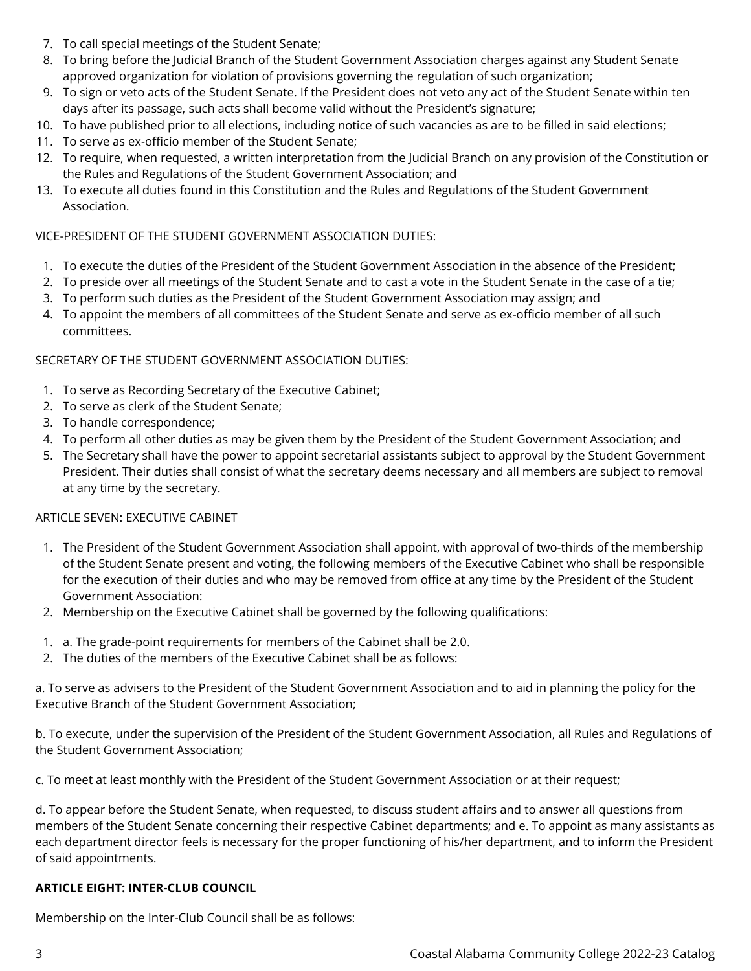- 7. To call special meetings of the Student Senate;
- 8. To bring before the Judicial Branch of the Student Government Association charges against any Student Senate approved organization for violation of provisions governing the regulation of such organization;
- 9. To sign or veto acts of the Student Senate. If the President does not veto any act of the Student Senate within ten days after its passage, such acts shall become valid without the President's signature;
- 10. To have published prior to all elections, including notice of such vacancies as are to be filled in said elections;
- 11. To serve as ex-officio member of the Student Senate;
- 12. To require, when requested, a written interpretation from the Judicial Branch on any provision of the Constitution or the Rules and Regulations of the Student Government Association; and
- 13. To execute all duties found in this Constitution and the Rules and Regulations of the Student Government Association.

## VICE-PRESIDENT OF THE STUDENT GOVERNMENT ASSOCIATION DUTIES:

- 1. To execute the duties of the President of the Student Government Association in the absence of the President;
- 2. To preside over all meetings of the Student Senate and to cast a vote in the Student Senate in the case of a tie;
- 3. To perform such duties as the President of the Student Government Association may assign; and
- 4. To appoint the members of all committees of the Student Senate and serve as ex-officio member of all such committees.

## SECRETARY OF THE STUDENT GOVERNMENT ASSOCIATION DUTIES:

- 1. To serve as Recording Secretary of the Executive Cabinet;
- 2. To serve as clerk of the Student Senate;
- 3. To handle correspondence;
- 4. To perform all other duties as may be given them by the President of the Student Government Association; and
- 5. The Secretary shall have the power to appoint secretarial assistants subject to approval by the Student Government President. Their duties shall consist of what the secretary deems necessary and all members are subject to removal at any time by the secretary.

## ARTICLE SEVEN: EXECUTIVE CABINET

- 1. The President of the Student Government Association shall appoint, with approval of two-thirds of the membership of the Student Senate present and voting, the following members of the Executive Cabinet who shall be responsible for the execution of their duties and who may be removed from office at any time by the President of the Student Government Association:
- 2. Membership on the Executive Cabinet shall be governed by the following qualifications:
- 1. a. The grade-point requirements for members of the Cabinet shall be 2.0.
- 2. The duties of the members of the Executive Cabinet shall be as follows:

a. To serve as advisers to the President of the Student Government Association and to aid in planning the policy for the Executive Branch of the Student Government Association;

b. To execute, under the supervision of the President of the Student Government Association, all Rules and Regulations of the Student Government Association;

c. To meet at least monthly with the President of the Student Government Association or at their request;

d. To appear before the Student Senate, when requested, to discuss student affairs and to answer all questions from members of the Student Senate concerning their respective Cabinet departments; and e. To appoint as many assistants as each department director feels is necessary for the proper functioning of his/her department, and to inform the President of said appointments.

## **ARTICLE EIGHT: INTER-CLUB COUNCIL**

Membership on the Inter-Club Council shall be as follows: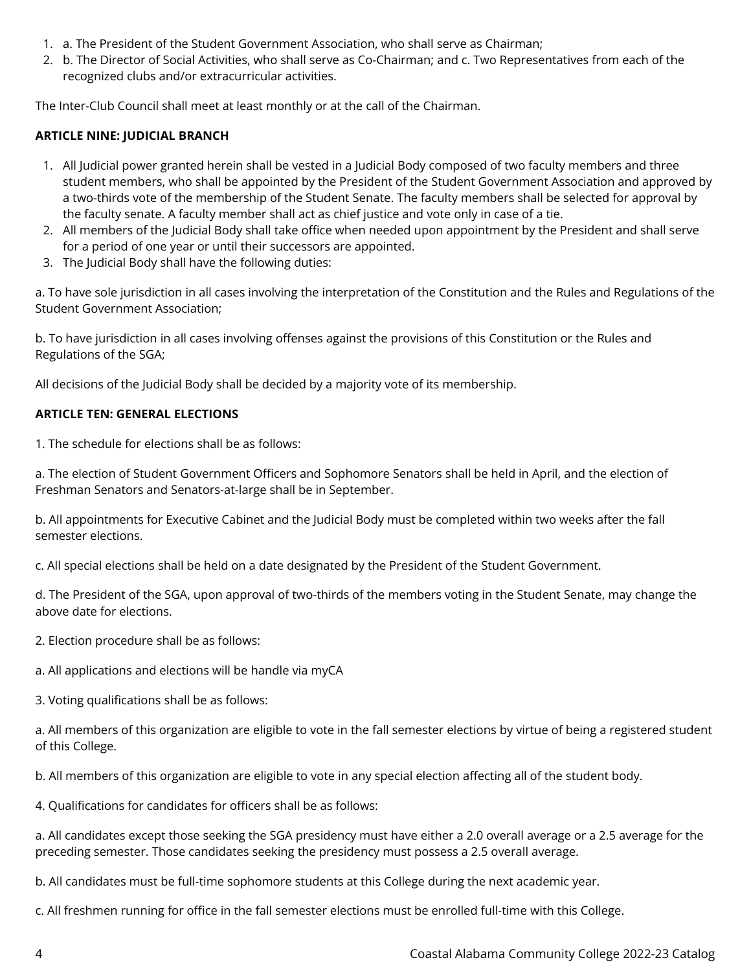- 1. a. The President of the Student Government Association, who shall serve as Chairman;
- 2. b. The Director of Social Activities, who shall serve as Co-Chairman; and c. Two Representatives from each of the recognized clubs and/or extracurricular activities.

The Inter-Club Council shall meet at least monthly or at the call of the Chairman.

## **ARTICLE NINE: JUDICIAL BRANCH**

- 1. All Judicial power granted herein shall be vested in a Judicial Body composed of two faculty members and three student members, who shall be appointed by the President of the Student Government Association and approved by a two-thirds vote of the membership of the Student Senate. The faculty members shall be selected for approval by the faculty senate. A faculty member shall act as chief justice and vote only in case of a tie.
- 2. All members of the Judicial Body shall take office when needed upon appointment by the President and shall serve for a period of one year or until their successors are appointed.
- 3. The Judicial Body shall have the following duties:

a. To have sole jurisdiction in all cases involving the interpretation of the Constitution and the Rules and Regulations of the Student Government Association;

b. To have jurisdiction in all cases involving offenses against the provisions of this Constitution or the Rules and Regulations of the SGA;

All decisions of the Judicial Body shall be decided by a majority vote of its membership.

## **ARTICLE TEN: GENERAL ELECTIONS**

1. The schedule for elections shall be as follows:

a. The election of Student Government Officers and Sophomore Senators shall be held in April, and the election of Freshman Senators and Senators-at-large shall be in September.

b. All appointments for Executive Cabinet and the Judicial Body must be completed within two weeks after the fall semester elections.

c. All special elections shall be held on a date designated by the President of the Student Government.

d. The President of the SGA, upon approval of two-thirds of the members voting in the Student Senate, may change the above date for elections.

- 2. Election procedure shall be as follows:
- a. All applications and elections will be handle via myCA
- 3. Voting qualifications shall be as follows:

a. All members of this organization are eligible to vote in the fall semester elections by virtue of being a registered student of this College.

b. All members of this organization are eligible to vote in any special election affecting all of the student body.

4. Qualifications for candidates for officers shall be as follows:

a. All candidates except those seeking the SGA presidency must have either a 2.0 overall average or a 2.5 average for the preceding semester. Those candidates seeking the presidency must possess a 2.5 overall average.

b. All candidates must be full-time sophomore students at this College during the next academic year.

c. All freshmen running for office in the fall semester elections must be enrolled full-time with this College.